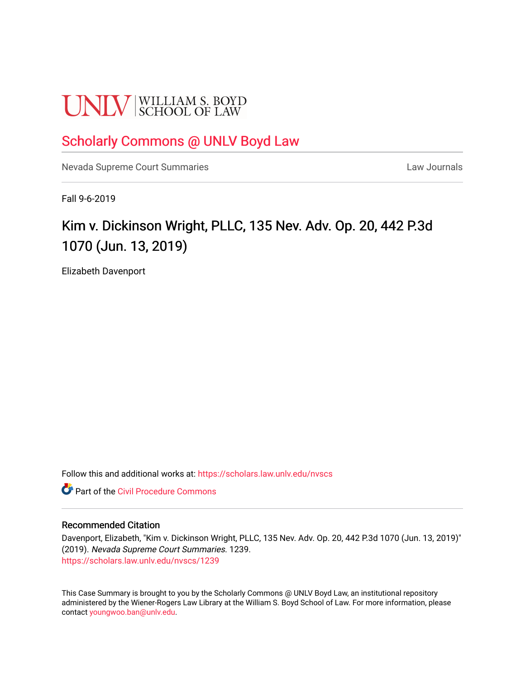# **UNLV** SCHOOL OF LAW

### [Scholarly Commons @ UNLV Boyd Law](https://scholars.law.unlv.edu/)

[Nevada Supreme Court Summaries](https://scholars.law.unlv.edu/nvscs) **Law Journals** Law Journals

Fall 9-6-2019

## Kim v. Dickinson Wright, PLLC, 135 Nev. Adv. Op. 20, 442 P.3d 1070 (Jun. 13, 2019)

Elizabeth Davenport

Follow this and additional works at: [https://scholars.law.unlv.edu/nvscs](https://scholars.law.unlv.edu/nvscs?utm_source=scholars.law.unlv.edu%2Fnvscs%2F1239&utm_medium=PDF&utm_campaign=PDFCoverPages)

**C** Part of the Civil Procedure Commons

#### Recommended Citation

Davenport, Elizabeth, "Kim v. Dickinson Wright, PLLC, 135 Nev. Adv. Op. 20, 442 P.3d 1070 (Jun. 13, 2019)" (2019). Nevada Supreme Court Summaries. 1239. [https://scholars.law.unlv.edu/nvscs/1239](https://scholars.law.unlv.edu/nvscs/1239?utm_source=scholars.law.unlv.edu%2Fnvscs%2F1239&utm_medium=PDF&utm_campaign=PDFCoverPages) 

This Case Summary is brought to you by the Scholarly Commons @ UNLV Boyd Law, an institutional repository administered by the Wiener-Rogers Law Library at the William S. Boyd School of Law. For more information, please contact [youngwoo.ban@unlv.edu](mailto:youngwoo.ban@unlv.edu).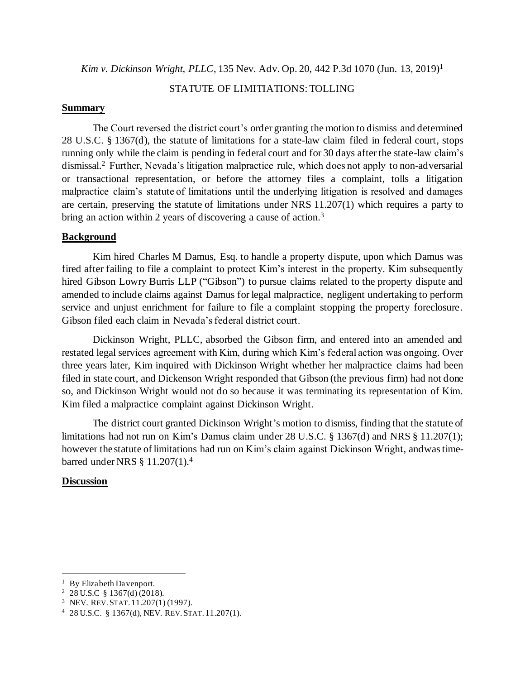*Kim v. Dickinson Wright, PLLC*, 135 Nev. Adv. Op. 20, 442 P.3d 1070 (Jun. 13, 2019)<sup>1</sup>

#### STATUTE OF LIMITIATIONS: TOLLING

#### **Summary**

The Court reversed the district court's order granting the motion to dismiss and determined 28 U.S.C. § 1367(d), the statute of limitations for a state-law claim filed in federal court, stops running only while the claim is pending in federal court and for 30 days after the state-law claim's dismissal.<sup>2</sup> Further, Nevada's litigation malpractice rule, which does not apply to non-adversarial or transactional representation, or before the attorney files a complaint, tolls a litigation malpractice claim's statute of limitations until the underlying litigation is resolved and damages are certain, preserving the statute of limitations under NRS 11.207(1) which requires a party to bring an action within 2 years of discovering a cause of action.<sup>3</sup>

#### **Background**

Kim hired Charles M Damus, Esq. to handle a property dispute, upon which Damus was fired after failing to file a complaint to protect Kim's interest in the property. Kim subsequently hired Gibson Lowry Burris LLP ("Gibson") to pursue claims related to the property dispute and amended to include claims against Damus for legal malpractice, negligent undertaking to perform service and unjust enrichment for failure to file a complaint stopping the property foreclosure. Gibson filed each claim in Nevada's federal district court.

Dickinson Wright, PLLC, absorbed the Gibson firm, and entered into an amended and restated legal services agreement with Kim, during which Kim's federal action was ongoing. Over three years later, Kim inquired with Dickinson Wright whether her malpractice claims had been filed in state court, and Dickenson Wright responded that Gibson (the previous firm) had not done so, and Dickinson Wright would not do so because it was terminating its representation of Kim. Kim filed a malpractice complaint against Dickinson Wright.

The district court granted Dickinson Wright's motion to dismiss, finding that the statute of limitations had not run on Kim's Damus claim under 28 U.S.C. § 1367(d) and NRS § 11.207(1); however the statute of limitations had run on Kim's claim against Dickinson Wright, andwas timebarred under NRS § 11.207(1).<sup>4</sup>

#### **Discussion**

<sup>&</sup>lt;sup>1</sup> By Elizabeth Davenport.

<sup>2</sup> 28 U.S.C § 1367(d) (2018).

<sup>3</sup> NEV. REV.STAT. 11.207(1) (1997).

<sup>4</sup> 28 U.S.C. § 1367(d), NEV. REV.STAT. 11.207(1).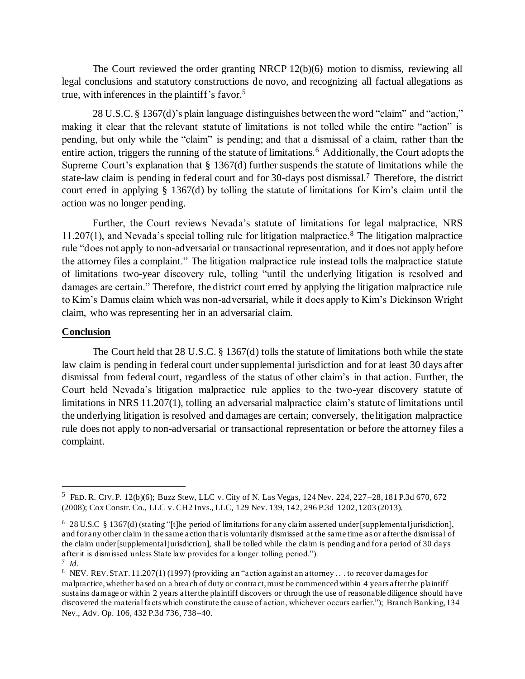The Court reviewed the order granting NRCP 12(b)(6) motion to dismiss, reviewing all legal conclusions and statutory constructions de novo, and recognizing all factual allegations as true, with inferences in the plaintiff's favor.<sup>5</sup>

28 U.S.C. § 1367(d)'s plain language distinguishes between the word "claim" and "action," making it clear that the relevant statute of limitations is not tolled while the entire "action" is pending, but only while the "claim" is pending; and that a dismissal of a claim, rather than the entire action, triggers the running of the statute of limitations.<sup>6</sup> Additionally, the Court adopts the Supreme Court's explanation that § 1367(d) further suspends the statute of limitations while the state-law claim is pending in federal court and for 30-days post dismissal.<sup>7</sup> Therefore, the district court erred in applying § 1367(d) by tolling the statute of limitations for Kim's claim until the action was no longer pending.

Further, the Court reviews Nevada's statute of limitations for legal malpractice, NRS 11.207(1), and Nevada's special tolling rule for litigation malpractice.<sup>8</sup> The litigation malpractice rule "does not apply to non-adversarial or transactional representation, and it does not apply before the attorney files a complaint." The litigation malpractice rule instead tolls the malpractice statute of limitations two-year discovery rule, tolling "until the underlying litigation is resolved and damages are certain." Therefore, the district court erred by applying the litigation malpractice rule to Kim's Damus claim which was non-adversarial, while it does apply to Kim's Dickinson Wright claim, who was representing her in an adversarial claim.

#### **Conclusion**

The Court held that 28 U.S.C. § 1367(d) tolls the statute of limitations both while the state law claim is pending in federal court under supplemental jurisdiction and for at least 30 days after dismissal from federal court, regardless of the status of other claim's in that action. Further, the Court held Nevada's litigation malpractice rule applies to the two-year discovery statute of limitations in NRS 11.207(1), tolling an adversarial malpractice claim's statute of limitations until the underlying litigation is resolved and damages are certain; conversely, the litigation malpractice rule does not apply to non-adversarial or transactional representation or before the attorney files a complaint.

<sup>5</sup> FED. R. CIV. P. 12(b)(6); Buzz Stew, LLC v. City of N. Las Vegas, 124 Nev. 224, 227–28, 181 P.3d 670, 672 (2008); Cox Constr. Co., LLC v. CH2 Invs., LLC, 129 Nev. 139, 142, 296 P.3d 1202, 1203 (2013).

<sup>6</sup> 28 U.S.C § 1367(d) (stating "[t]he period of limitations for any claim asserted under [supplemental jurisdiction], and for any other claim in the same action that is voluntarily dismissed at the same time as or after the dismissal of the claim under [supplemental jurisdiction], shall be tolled while the claim is pending and for a period of 30 days after it is dismissed unless State law provides for a longer tolling period.").

<sup>7</sup> *Id.*

<sup>&</sup>lt;sup>8</sup> NEV. REV. STAT. 11.207(1) (1997) (providing an "action against an attorney . . . to recover damages for malpractice, whether based on a breach of duty or contract, must be commenced within 4 years after the plaintiff sustains damage or within 2 years after the plaintiff discovers or through the use of reasonable diligence should have discovered the material facts which constitute the cause of action, whichever occurs earlier."); Branch Banking, 134 Nev., Adv. Op. 106, 432 P.3d 736, 738–40.